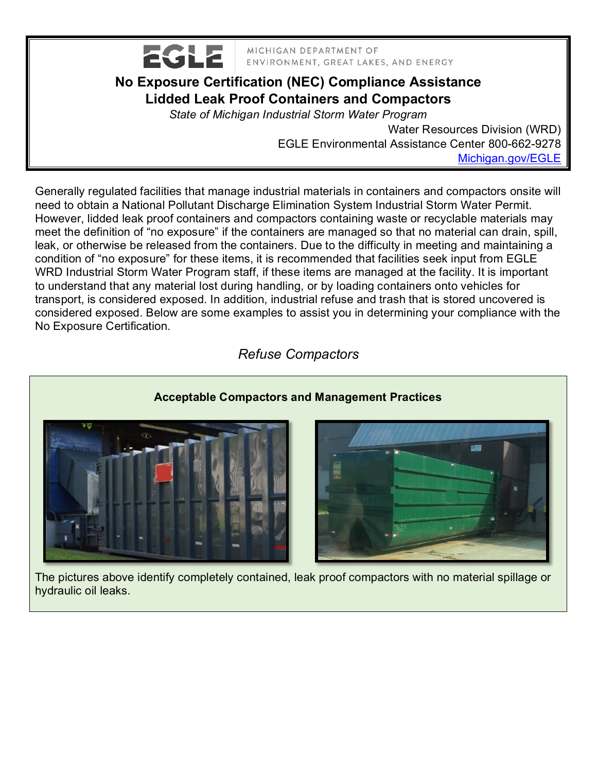

MICHIGAN DEPARTMENT OF ENVIRONMENT, GREAT LAKES, AND ENERGY

## **No Exposure Certification (NEC) Compliance Assistance Lidded Leak Proof Containers and Compactors**

*State of Michigan Industrial Storm Water Program*

Water Resources Division (WRD) EGLE Environmental Assistance Center 800-662-9278 [Michigan.gov/EGLE](http://www.michigan.gov/deq)

Generally regulated facilities that manage industrial materials in containers and compactors onsite will need to obtain a National Pollutant Discharge Elimination System Industrial Storm Water Permit. However, lidded leak proof containers and compactors containing waste or recyclable materials may meet the definition of "no exposure" if the containers are managed so that no material can drain, spill, leak, or otherwise be released from the containers. Due to the difficulty in meeting and maintaining a condition of "no exposure" for these items, it is recommended that facilities seek input from EGLE WRD Industrial Storm Water Program staff, if these items are managed at the facility. It is important to understand that any material lost during handling, or by loading containers onto vehicles for transport, is considered exposed. In addition, industrial refuse and trash that is stored uncovered is considered exposed. Below are some examples to assist you in determining your compliance with the No Exposure Certification.

## *Refuse Compactors*



 The pictures above identify completely contained, leak proof compactors with no material spillage or hydraulic oil leaks.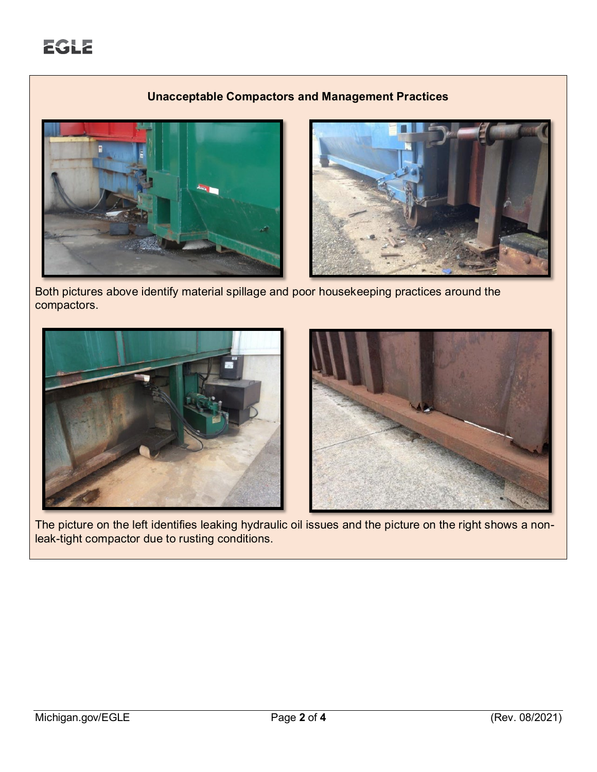### **Unacceptable Compactors and Management Practices**





 Both pictures above identify material spillage and poor housekeeping practices around the compactors.



 The picture on the left identifies leaking hydraulic oil issues and the picture on the right shows a nonleak-tight compactor due to rusting conditions.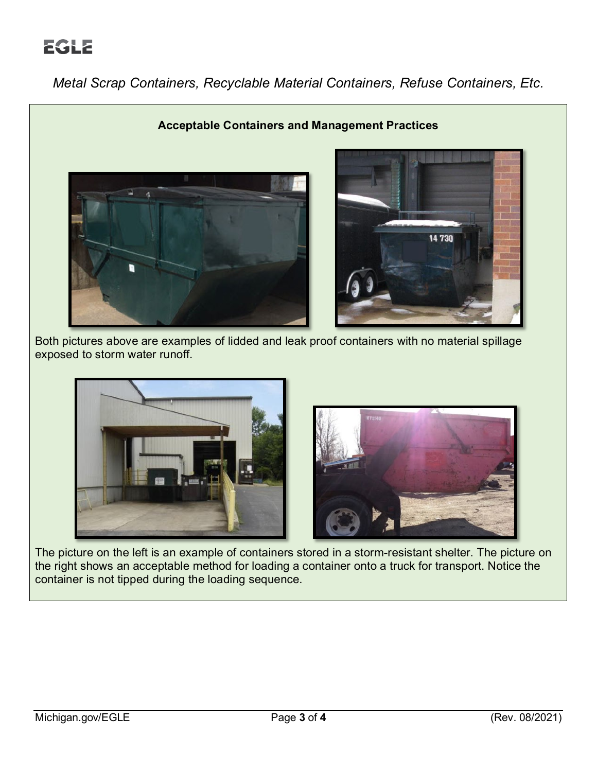# **EGLE**

*Metal Scrap Containers, Recyclable Material Containers, Refuse Containers, Etc.*



 Both pictures above are examples of lidded and leak proof containers with no material spillage exposed to storm water runoff.



 The picture on the left is an example of containers stored in a storm-resistant shelter. The picture on the right shows an acceptable method for loading a container onto a truck for transport. Notice the container is not tipped during the loading sequence.